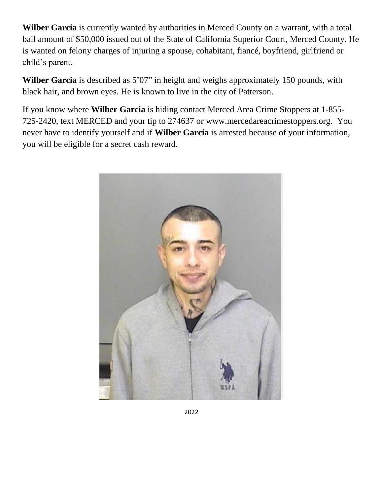**Wilber Garcia** is currently wanted by authorities in Merced County on a warrant, with a total bail amount of \$50,000 issued out of the State of California Superior Court, Merced County. He is wanted on felony charges of injuring a spouse, cohabitant, fiancé, boyfriend, girlfriend or child's parent.

**Wilber Garcia** is described as 5'07" in height and weighs approximately 150 pounds, with black hair, and brown eyes. He is known to live in the city of Patterson.

If you know where **Wilber Garcia** is hiding contact Merced Area Crime Stoppers at 1-855- 725-2420, text MERCED and your tip to 274637 or www.mercedareacrimestoppers.org. You never have to identify yourself and if **Wilber Garcia** is arrested because of your information, you will be eligible for a secret cash reward.